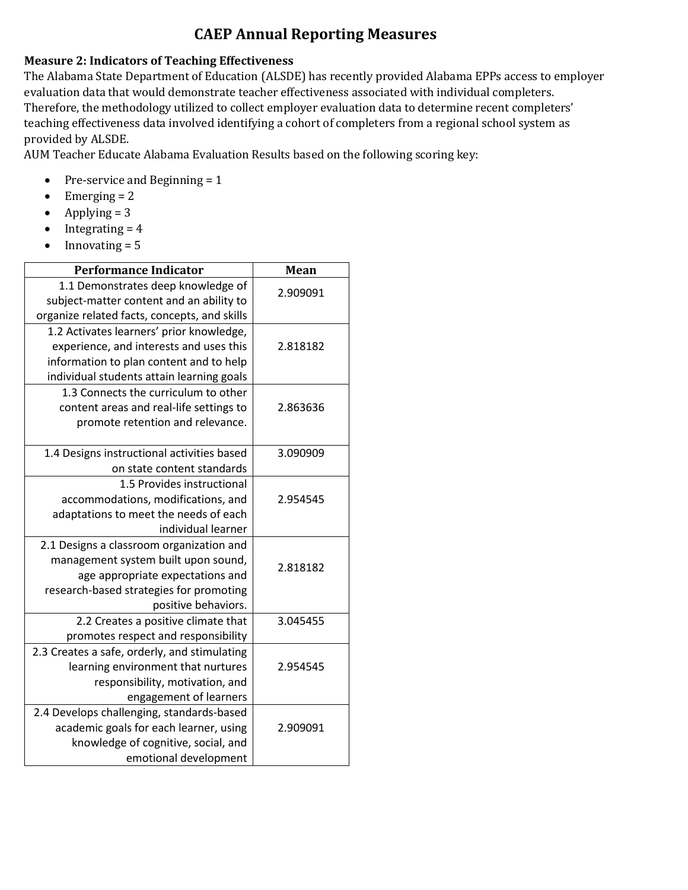## **CAEP Annual Reporting Measures**

## **Measure 2: Indicators of Teaching Effectiveness**

The Alabama State Department of Education (ALSDE) has recently provided Alabama EPPs access to employer evaluation data that would demonstrate teacher effectiveness associated with individual completers. Therefore, the methodology utilized to collect employer evaluation data to determine recent completers' teaching effectiveness data involved identifying a cohort of completers from a regional school system as provided by ALSDE.

AUM Teacher Educate Alabama Evaluation Results based on the following scoring key:

- Pre-service and Beginning  $= 1$
- Emerging  $= 2$
- Applying  $= 3$
- $\bullet$  Integrating = 4
- $\bullet$  Innovating = 5

| <b>Performance Indicator</b>                 | Mean     |
|----------------------------------------------|----------|
| 1.1 Demonstrates deep knowledge of           | 2.909091 |
| subject-matter content and an ability to     |          |
| organize related facts, concepts, and skills |          |
| 1.2 Activates learners' prior knowledge,     |          |
| experience, and interests and uses this      | 2.818182 |
| information to plan content and to help      |          |
| individual students attain learning goals    |          |
| 1.3 Connects the curriculum to other         |          |
| content areas and real-life settings to      | 2.863636 |
| promote retention and relevance.             |          |
| 1.4 Designs instructional activities based   | 3.090909 |
| on state content standards                   |          |
| 1.5 Provides instructional                   |          |
| accommodations, modifications, and           | 2.954545 |
| adaptations to meet the needs of each        |          |
| individual learner                           |          |
| 2.1 Designs a classroom organization and     |          |
| management system built upon sound,          | 2.818182 |
| age appropriate expectations and             |          |
| research-based strategies for promoting      |          |
| positive behaviors.                          |          |
| 2.2 Creates a positive climate that          | 3.045455 |
| promotes respect and responsibility          |          |
| 2.3 Creates a safe, orderly, and stimulating |          |
| learning environment that nurtures           | 2.954545 |
| responsibility, motivation, and              |          |
| engagement of learners                       |          |
| 2.4 Develops challenging, standards-based    |          |
| academic goals for each learner, using       | 2.909091 |
| knowledge of cognitive, social, and          |          |
| emotional development                        |          |